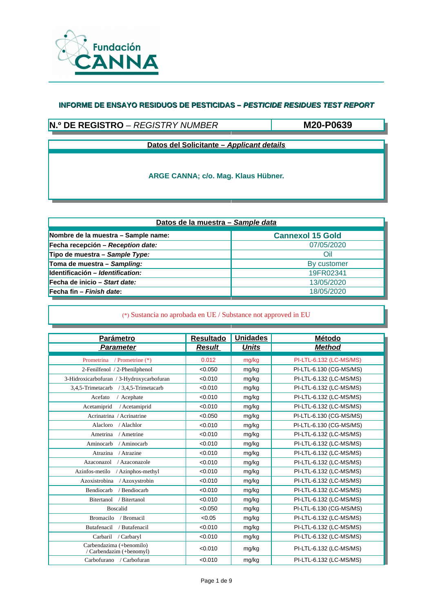

# **N.º DE REGISTRO** – *REGISTRY NUMBER*

**M20-P0639**

**Datos del Solicitante –** *Applicant details*

**ARGE CANNA; c/o. Mag. Klaus Hübner.**

| Datos de la muestra - Sample data   |                         |  |  |  |
|-------------------------------------|-------------------------|--|--|--|
| Nombre de la muestra - Sample name: | <b>Cannexol 15 Gold</b> |  |  |  |
| Fecha recepción - Reception date:   | 07/05/2020              |  |  |  |
| Tipo de muestra - Sample Type:      | Oil                     |  |  |  |
| Toma de muestra - Sampling:         | By customer             |  |  |  |
| Identificación - Identification:    | 19FR02341               |  |  |  |
| Fecha de inicio – Start date:       | 13/05/2020              |  |  |  |
| Fecha fin – Finish date:            | 18/05/2020              |  |  |  |

| <b>Parámetro</b>                                     | <b>Resultado</b> | <b>Unidades</b> | <b>Método</b>           |
|------------------------------------------------------|------------------|-----------------|-------------------------|
| <b>Parameter</b>                                     | <b>Result</b>    | <b>Units</b>    | <b>Method</b>           |
| Prometrina<br>/ Prometrine (*)                       | 0.012            | mg/kg           | PI-LTL-6.132 (LC-MS/MS) |
| 2-Fenilfenol / 2-Phenilphenol                        | < 0.050          | mg/kg           | PI-LTL-6.130 (CG-MS/MS) |
| 3-Hidroxicarbofuran / 3-Hydroxycarbofuran            | < 0.010          | mg/kg           | PI-LTL-6.132 (LC-MS/MS) |
| 3,4,5-Trimetacarb<br>/ 3,4,5-Trimetacarb             | < 0.010          | mg/kg           | PI-LTL-6.132 (LC-MS/MS) |
| Acefato<br>/ Acephate                                | < 0.010          | mg/kg           | PI-LTL-6.132 (LC-MS/MS) |
| Acetamiprid<br>/ Acetamiprid                         | < 0.010          | mg/kg           | PI-LTL-6.132 (LC-MS/MS) |
| Acrinatrina / Acrinatrine                            | < 0.050          | mg/kg           | PI-LTL-6.130 (CG-MS/MS) |
| Alacloro<br>/ Alachlor                               | < 0.010          | mg/kg           | PI-LTL-6.130 (CG-MS/MS) |
| Ametrina<br>/ Ametrine                               | < 0.010          | mg/kg           | PI-LTL-6.132 (LC-MS/MS) |
| Aminocarb<br>/ Aminocarb                             | < 0.010          | mg/kg           | PI-LTL-6.132 (LC-MS/MS) |
| / Atrazine<br>Atrazina                               | < 0.010          | mg/kg           | PI-LTL-6.132 (LC-MS/MS) |
| Azaconazol<br>/ Azaconazole                          | < 0.010          | mg/kg           | PI-LTL-6.132 (LC-MS/MS) |
| Azinfos-metilo<br>/ Azinphos-methyl                  | < 0.010          | mg/kg           | PI-LTL-6.132 (LC-MS/MS) |
| / Azoxystrobin<br>Azoxistrobina                      | < 0.010          | mg/kg           | PI-LTL-6.132 (LC-MS/MS) |
| / Bendiocarb<br>Bendiocarb                           | < 0.010          | mg/kg           | PI-LTL-6.132 (LC-MS/MS) |
| <b>Bitertanol</b><br>/ Bitertanol                    | < 0.010          | mg/kg           | PI-LTL-6.132 (LC-MS/MS) |
| <b>Boscalid</b>                                      | < 0.050          | mg/kg           | PI-LTL-6.130 (CG-MS/MS) |
| <b>Bromacilo</b><br>/ Bromacil                       | < 0.05           | mg/kg           | PI-LTL-6.132 (LC-MS/MS) |
| Butafenacil<br>/ Butafenacil                         | < 0.010          | mg/kg           | PI-LTL-6.132 (LC-MS/MS) |
| Carbaril<br>/ Carbaryl                               | < 0.010          | mg/kg           | PI-LTL-6.132 (LC-MS/MS) |
| Carbendazima (+benomilo)<br>/ Carbendazim (+benomyl) | < 0.010          | mg/kg           | PI-LTL-6.132 (LC-MS/MS) |
| Carbofurano / Carbofuran                             | < 0.010          | mg/kg           | PI-LTL-6.132 (LC-MS/MS) |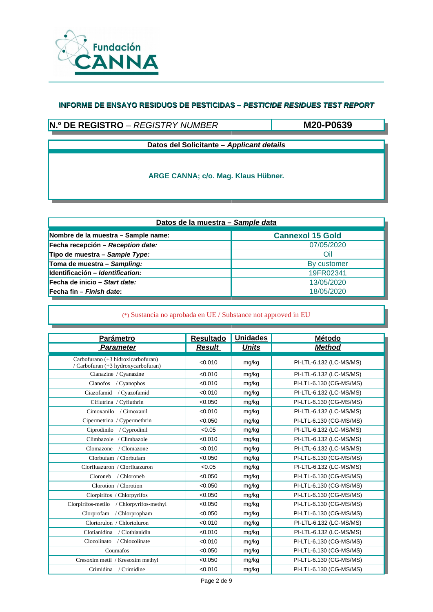

# **N.º DE REGISTRO** – *REGISTRY NUMBER*

**M20-P0639**

**Datos del Solicitante –** *Applicant details*

**ARGE CANNA; c/o. Mag. Klaus Hübner.**

| Datos de la muestra - Sample data   |                         |  |  |  |
|-------------------------------------|-------------------------|--|--|--|
| Nombre de la muestra - Sample name: | <b>Cannexol 15 Gold</b> |  |  |  |
| Fecha recepción - Reception date:   | 07/05/2020              |  |  |  |
| Tipo de muestra - Sample Type:      | Oil                     |  |  |  |
| Toma de muestra - Sampling:         | By customer             |  |  |  |
| Identificación - Identification:    | 19FR02341               |  |  |  |
| Fecha de inicio – Start date:       | 13/05/2020              |  |  |  |
| Fecha fin – Finish date:            | 18/05/2020              |  |  |  |

| Parámetro                                                                 | <b>Resultado</b> | <b>Unidades</b> | Método                  |
|---------------------------------------------------------------------------|------------------|-----------------|-------------------------|
| <b>Parameter</b>                                                          | <b>Result</b>    | <b>Units</b>    | <b>Method</b>           |
| Carbofurano (+3 hidroxicarbofuran)<br>/ Carbofuran (+3 hydroxycarbofuran) | < 0.010          | mg/kg           | PI-LTL-6.132 (LC-MS/MS) |
| Cianazine / Cyanazine                                                     | < 0.010          | mg/kg           | PI-LTL-6.132 (LC-MS/MS) |
| Cianofos<br>/ Cyanophos                                                   | < 0.010          | mg/kg           | PI-LTL-6.130 (CG-MS/MS) |
| Ciazofamid<br>/ Cyazofamid                                                | < 0.010          | mg/kg           | PI-LTL-6.132 (LC-MS/MS) |
| Ciflutrina / Cyfluthrin                                                   | < 0.050          | mg/kg           | PI-LTL-6.130 (CG-MS/MS) |
| Cimoxanilo / Cimoxanil                                                    | < 0.010          | mg/kg           | PI-LTL-6.132 (LC-MS/MS) |
| Cipermetrina / Cypermethrin                                               | < 0.050          | mg/kg           | PI-LTL-6.130 (CG-MS/MS) |
| Ciprodinilo / Cyprodinil                                                  | < 0.05           | mg/kg           | PI-LTL-6.132 (LC-MS/MS) |
| Climbazole / Climbazole                                                   | < 0.010          | mg/kg           | PI-LTL-6.132 (LC-MS/MS) |
| Clomazone<br>/ Clomazone                                                  | < 0.010          | mg/kg           | PI-LTL-6.132 (LC-MS/MS) |
| Clorbufam / Clorbufam                                                     | < 0.050          | mg/kg           | PI-LTL-6.130 (CG-MS/MS) |
| Clorfluazuron / Clorfluazuron                                             | < 0.05           | mg/kg           | PI-LTL-6.132 (LC-MS/MS) |
| Cloroneb / Chloroneb                                                      | < 0.050          | mg/kg           | PI-LTL-6.130 (CG-MS/MS) |
| Clorotion / Clorotion                                                     | < 0.050          | mg/kg           | PI-LTL-6.130 (CG-MS/MS) |
| Clorpirifos / Chlorpyrifos                                                | < 0.050          | mg/kg           | PI-LTL-6.130 (CG-MS/MS) |
| Clorpirifos-metilo<br>/ Chlorpyrifos-methyl                               | < 0.050          | mg/kg           | PI-LTL-6.130 (CG-MS/MS) |
| Clorprofam<br>/ Chlorpropham                                              | < 0.050          | mg/kg           | PI-LTL-6.130 (CG-MS/MS) |
| Clortorulon / Chlortoluron                                                | < 0.010          | mg/kg           | PI-LTL-6.132 (LC-MS/MS) |
| / Clothianidin<br>Clotianidina                                            | < 0.010          | mg/kg           | PI-LTL-6.132 (LC-MS/MS) |
| / Chlozolinate<br>Clozolinato                                             | < 0.010          | mg/kg           | PI-LTL-6.130 (CG-MS/MS) |
| Coumafos                                                                  | < 0.050          | mg/kg           | PI-LTL-6.130 (CG-MS/MS) |
| Cresoxim metil / Kresoxim methyl                                          | < 0.050          | mg/kg           | PI-LTL-6.130 (CG-MS/MS) |
| Crimidina / Crimidine                                                     | < 0.010          | mg/kg           | PI-LTL-6.130 (CG-MS/MS) |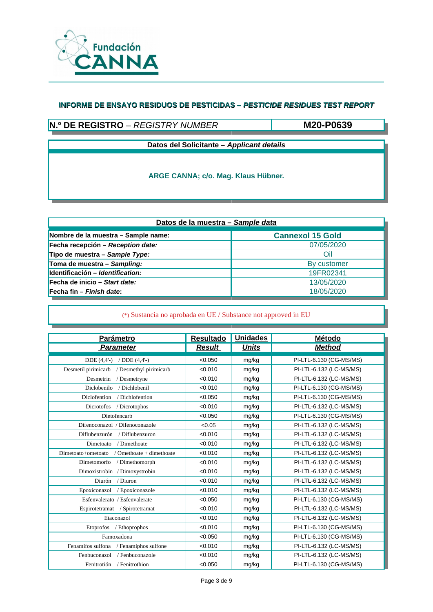

# **N.º DE REGISTRO** – *REGISTRY NUMBER*

**M20-P0639**

**Datos del Solicitante –** *Applicant details*

**ARGE CANNA; c/o. Mag. Klaus Hübner.**

| Datos de la muestra - Sample data   |                         |  |  |  |
|-------------------------------------|-------------------------|--|--|--|
| Nombre de la muestra - Sample name: | <b>Cannexol 15 Gold</b> |  |  |  |
| Fecha recepción - Reception date:   | 07/05/2020              |  |  |  |
| Tipo de muestra - Sample Type:      | Oil                     |  |  |  |
| Toma de muestra - Sampling:         | By customer             |  |  |  |
| Identificación - Identification:    | 19FR02341               |  |  |  |
| Fecha de inicio – Start date:       | 13/05/2020              |  |  |  |
| Fecha fin – Finish date:            | 18/05/2020              |  |  |  |

| <b>Parámetro</b>                               | <b>Resultado</b> | <b>Unidades</b> | <b>Método</b>           |
|------------------------------------------------|------------------|-----------------|-------------------------|
| <b>Parameter</b>                               | <b>Result</b>    | <b>Units</b>    | <b>Method</b>           |
| $DDE(4,4'-)$<br>/ $DDE(4,4'-)$                 | < 0.050          | mg/kg           | PI-LTL-6.130 (CG-MS/MS) |
| / Desmethyl pirimicarb<br>Desmetil pirimicarb  | < 0.010          | mg/kg           | PI-LTL-6.132 (LC-MS/MS) |
| Desmetrin<br>/ Desmetryne                      | < 0.010          | mg/kg           | PI-LTL-6.132 (LC-MS/MS) |
| Diclobenilo<br>/ Dichlobenil                   | < 0.010          | mg/kg           | PI-LTL-6.130 (CG-MS/MS) |
| Diclofention<br>/ Dichlofention                | < 0.050          | mg/kg           | PI-LTL-6.130 (CG-MS/MS) |
| Dicrotofos<br>/ Dicrotophos                    | < 0.010          | mg/kg           | PI-LTL-6.132 (LC-MS/MS) |
| Dietofencarb                                   | < 0.050          | mg/kg           | PI-LTL-6.130 (CG-MS/MS) |
| Difenoconazol / Difenoconazole                 | < 0.05           | mg/kg           | PI-LTL-6.132 (LC-MS/MS) |
| Diflubenzurón / Diflubenzuron                  | < 0.010          | mg/kg           | PI-LTL-6.132 (LC-MS/MS) |
| / Dimethoate<br>Dimetoato                      | < 0.010          | mg/kg           | PI-LTL-6.132 (LC-MS/MS) |
| / Omethoate + dimethoate<br>Dimetoato+ometoato | < 0.010          | mg/kg           | PI-LTL-6.132 (LC-MS/MS) |
| / Dimethomorph<br>Dimetomorfo                  | < 0.010          | mg/kg           | PI-LTL-6.132 (LC-MS/MS) |
| Dimoxistrobin / Dimoxystrobin                  | < 0.010          | mg/kg           | PI-LTL-6.132 (LC-MS/MS) |
| Diurón<br>/ Diuron                             | < 0.010          | mg/kg           | PI-LTL-6.132 (LC-MS/MS) |
| Epoxiconazol / Epoxiconazole                   | < 0.010          | mg/kg           | PI-LTL-6.132 (LC-MS/MS) |
| Esfenvalerato / Esfenvalerate                  | < 0.050          | mg/kg           | PI-LTL-6.130 (CG-MS/MS) |
| Espirotetramat / Spirotetramat                 | < 0.010          | mg/kg           | PI-LTL-6.132 (LC-MS/MS) |
| Etaconazol                                     | < 0.010          | mg/kg           | PI-LTL-6.132 (LC-MS/MS) |
| Etoprofos<br>/ Ethoprophos                     | < 0.010          | mg/kg           | PI-LTL-6.130 (CG-MS/MS) |
| Famoxadona                                     | < 0.050          | mg/kg           | PI-LTL-6.130 (CG-MS/MS) |
| Fenamifos sulfona / Fenamiphos sulfone         | < 0.010          | mg/kg           | PI-LTL-6.132 (LC-MS/MS) |
| / Fenbuconazole<br>Fenbuconazol                | < 0.010          | mg/kg           | PI-LTL-6.132 (LC-MS/MS) |
| Fenitrotión<br>/ Fenitrothion                  | < 0.050          | mg/kg           | PI-LTL-6.130 (CG-MS/MS) |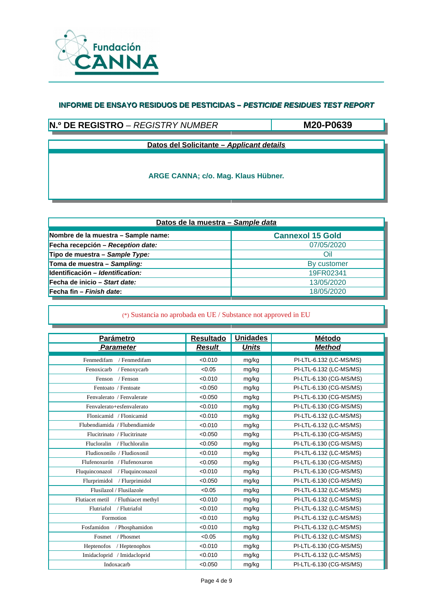

# **N.º DE REGISTRO** – *REGISTRY NUMBER*

**M20-P0639**

**Datos del Solicitante –** *Applicant details*

**ARGE CANNA; c/o. Mag. Klaus Hübner.**

| Datos de la muestra - Sample data   |                         |  |  |  |
|-------------------------------------|-------------------------|--|--|--|
| Nombre de la muestra - Sample name: | <b>Cannexol 15 Gold</b> |  |  |  |
| Fecha recepción - Reception date:   | 07/05/2020              |  |  |  |
| Tipo de muestra - Sample Type:      | Oil                     |  |  |  |
| Toma de muestra - Sampling:         | By customer             |  |  |  |
| Identificación - Identification:    | 19FR02341               |  |  |  |
| Fecha de inicio – Start date:       | 13/05/2020              |  |  |  |
| Fecha fin – Finish date:            | 18/05/2020              |  |  |  |

| <b>Parámetro</b>                    | <b>Resultado</b> | <b>Unidades</b> | Método                  |
|-------------------------------------|------------------|-----------------|-------------------------|
| <b>Parameter</b>                    | <b>Result</b>    | <b>Units</b>    | <b>Method</b>           |
| Fenmedifam<br>/ Fenmedifam          | < 0.010          | mg/kg           | PI-LTL-6.132 (LC-MS/MS) |
| Fenoxicarb<br>/ Fenoxycarb          | < 0.05           | mg/kg           | PI-LTL-6.132 (LC-MS/MS) |
| / Fenson<br>Fenson                  | < 0.010          | mg/kg           | PI-LTL-6.130 (CG-MS/MS) |
| Fentoato / Fentoate                 | < 0.050          | mg/kg           | PI-LTL-6.130 (CG-MS/MS) |
| Fenvalerato / Fenvalerate           | < 0.050          | mg/kg           | PI-LTL-6.130 (CG-MS/MS) |
| Fenvalerato+esfenvalerato           | < 0.010          | mg/kg           | PI-LTL-6.130 (CG-MS/MS) |
| Flonicamid / Flonicamid             | < 0.010          | mg/kg           | PI-LTL-6.132 (LC-MS/MS) |
| Flubendiamida / Flubendiamide       | < 0.010          | mg/kg           | PI-LTL-6.132 (LC-MS/MS) |
| Flucitrinato / Flucitrinate         | < 0.050          | mg/kg           | PI-LTL-6.130 (CG-MS/MS) |
| Flucloralin / Fluchloralin          | < 0.050          | mg/kg           | PI-LTL-6.130 (CG-MS/MS) |
| Fludioxonilo / Fludioxonil          | < 0.010          | mg/kg           | PI-LTL-6.132 (LC-MS/MS) |
| Flufenoxurón / Flufenoxuron         | < 0.050          | mg/kg           | PI-LTL-6.130 (CG-MS/MS) |
| Fluquinconazol / Fluquinconazol     | < 0.010          | mg/kg           | PI-LTL-6.130 (CG-MS/MS) |
| Flurprimidol / Flurprimidol         | < 0.050          | mg/kg           | PI-LTL-6.130 (CG-MS/MS) |
| Flusilazol / Flusilazole            | < 0.05           | mg/kg           | PI-LTL-6.132 (LC-MS/MS) |
| Flutiacet metil / Fluthiacet methyl | < 0.010          | mg/kg           | PI-LTL-6.132 (LC-MS/MS) |
| / Flutriafol<br>Flutriafol          | < 0.010          | mg/kg           | PI-LTL-6.132 (LC-MS/MS) |
| Formotion                           | < 0.010          | mg/kg           | PI-LTL-6.132 (LC-MS/MS) |
| Fosfamidon<br>/ Phosphamidon        | < 0.010          | mg/kg           | PI-LTL-6.132 (LC-MS/MS) |
| / Phosmet<br>Fosmet                 | < 0.05           | mg/kg           | PI-LTL-6.132 (LC-MS/MS) |
| Heptenofos<br>/ Heptenophos         | < 0.010          | mg/kg           | PI-LTL-6.130 (CG-MS/MS) |
| Imidacloprid / Imidacloprid         | < 0.010          | mg/kg           | PI-LTL-6.132 (LC-MS/MS) |
| Indoxacarb                          | < 0.050          | mg/kg           | PI-LTL-6.130 (CG-MS/MS) |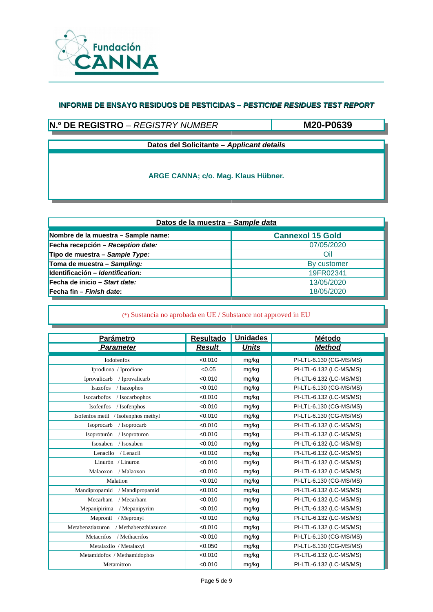

# **N.º DE REGISTRO** – *REGISTRY NUMBER*

**M20-P0639**

**Datos del Solicitante –** *Applicant details*

**ARGE CANNA; c/o. Mag. Klaus Hübner.**

| Datos de la muestra - Sample data   |                         |  |  |  |
|-------------------------------------|-------------------------|--|--|--|
| Nombre de la muestra - Sample name: | <b>Cannexol 15 Gold</b> |  |  |  |
| Fecha recepción - Reception date:   | 07/05/2020              |  |  |  |
| Tipo de muestra - Sample Type:      | Oil                     |  |  |  |
| Toma de muestra - Sampling:         | By customer             |  |  |  |
| Identificación - Identification:    | 19FR02341               |  |  |  |
| Fecha de inicio – Start date:       | 13/05/2020              |  |  |  |
| Fecha fin – Finish date:            | 18/05/2020              |  |  |  |

| <b>Parámetro</b>                         | <b>Resultado</b> | <b>Unidades</b> | <b>Método</b>           |
|------------------------------------------|------------------|-----------------|-------------------------|
| <b>Parameter</b>                         | <b>Result</b>    | <b>Units</b>    | <b>Method</b>           |
| <b>Iodofenfos</b>                        | < 0.010          | mg/kg           | PI-LTL-6.130 (CG-MS/MS) |
| Iprodiona / Iprodione                    | < 0.05           | mg/kg           | PI-LTL-6.132 (LC-MS/MS) |
| Iprovalicarb<br>/ Iprovalicarb           | < 0.010          | mg/kg           | PI-LTL-6.132 (LC-MS/MS) |
| Isazofos<br>/ Isazophos                  | < 0.010          | mg/kg           | PI-LTL-6.130 (CG-MS/MS) |
| Isocarbofos<br>/ Isocarbophos            | < 0.010          | mg/kg           | PI-LTL-6.132 (LC-MS/MS) |
| Isofenfos<br>/ Isofenphos                | < 0.010          | mg/kg           | PI-LTL-6.130 (CG-MS/MS) |
| Isofenfos metil / Isofenphos methyl      | < 0.010          | mg/kg           | PI-LTL-6.130 (CG-MS/MS) |
| Isoprocarb<br>/ Isoprocarb               | < 0.010          | mg/kg           | PI-LTL-6.132 (LC-MS/MS) |
| Isoproturón<br>/ Isoproturon             | < 0.010          | mg/kg           | PI-LTL-6.132 (LC-MS/MS) |
| Isoxaben<br>/ Isoxaben                   | < 0.010          | mg/kg           | PI-LTL-6.132 (LC-MS/MS) |
| Lenacilo<br>/ Lenacil                    | < 0.010          | mg/kg           | PI-LTL-6.132 (LC-MS/MS) |
| Linurón / Linuron                        | < 0.010          | mg/kg           | PI-LTL-6.132 (LC-MS/MS) |
| Malaoxon<br>/ Malaoxon                   | < 0.010          | mg/kg           | PI-LTL-6.132 (LC-MS/MS) |
| Malation                                 | < 0.010          | mg/kg           | PI-LTL-6.130 (CG-MS/MS) |
| Mandipropamid<br>/ Mandipropamid         | < 0.010          | mg/kg           | PI-LTL-6.132 (LC-MS/MS) |
| / Mecarbam<br>Mecarbam                   | < 0.010          | mg/kg           | PI-LTL-6.132 (LC-MS/MS) |
| Mepanipirima<br>/ Mepanipyrim            | < 0.010          | mg/kg           | PI-LTL-6.132 (LC-MS/MS) |
| Mepronil<br>/ Mepronyl                   | < 0.010          | mg/kg           | PI-LTL-6.132 (LC-MS/MS) |
| Metabenztiazuron<br>/ Methabenzthiazuron | < 0.010          | mg/kg           | PI-LTL-6.132 (LC-MS/MS) |
| <b>Metacrifos</b><br>/ Methacrifos       | < 0.010          | mg/kg           | PI-LTL-6.130 (CG-MS/MS) |
| Metalaxilo / Metalaxyl                   | < 0.050          | mg/kg           | PI-LTL-6.130 (CG-MS/MS) |
| Metamidofos / Methamidophos              | < 0.010          | mg/kg           | PI-LTL-6.132 (LC-MS/MS) |
| Metamitron                               | < 0.010          | mg/kg           | PI-LTL-6.132 (LC-MS/MS) |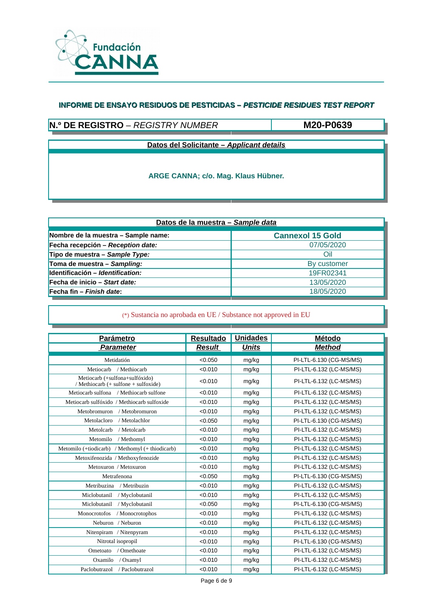

# **N.º DE REGISTRO** – *REGISTRY NUMBER*

**M20-P0639**

**Datos del Solicitante –** *Applicant details*

**ARGE CANNA; c/o. Mag. Klaus Hübner.**

| Datos de la muestra - Sample data   |                         |  |  |  |
|-------------------------------------|-------------------------|--|--|--|
| Nombre de la muestra - Sample name: | <b>Cannexol 15 Gold</b> |  |  |  |
| Fecha recepción - Reception date:   | 07/05/2020              |  |  |  |
| Tipo de muestra - Sample Type:      | Oil                     |  |  |  |
| Toma de muestra – Sampling:         | By customer             |  |  |  |
| Identificación - Identification:    | 19FR02341               |  |  |  |
| Fecha de inicio – Start date:       | 13/05/2020              |  |  |  |
| Fecha fin – Finish date:            | 18/05/2020              |  |  |  |

| <b>Parámetro</b>                                                       | <b>Resultado</b> | <b>Unidades</b> | <b>Método</b>           |
|------------------------------------------------------------------------|------------------|-----------------|-------------------------|
| <b>Parameter</b>                                                       | <b>Result</b>    | <b>Units</b>    | <b>Method</b>           |
| Metidatión                                                             | < 0.050          | mg/kg           | PI-LTL-6.130 (CG-MS/MS) |
| Metiocarb<br>/ Methiocarb                                              | < 0.010          | mg/kg           | PI-LTL-6.132 (LC-MS/MS) |
| Metiocarb (+sulfona+sulfóxido)<br>/ Methiocarb (+ sulfone + sulfoxide) | < 0.010          | mg/kg           | PI-LTL-6.132 (LC-MS/MS) |
| Metiocarb sulfona / Methiocarb sulfone                                 | < 0.010          | mg/kg           | PI-LTL-6.132 (LC-MS/MS) |
| Metiocarb sulfóxido / Methiocarb sulfoxide                             | < 0.010          | mg/kg           | PI-LTL-6.132 (LC-MS/MS) |
| Metobromuron / Metobromuron                                            | < 0.010          | mg/kg           | PI-LTL-6.132 (LC-MS/MS) |
| Metolacloro<br>/ Metolachlor                                           | < 0.050          | mg/kg           | PI-LTL-6.130 (CG-MS/MS) |
| Metolcarb<br>/ Metolcarb                                               | < 0.010          | mg/kg           | PI-LTL-6.132 (LC-MS/MS) |
| Metomilo<br>/ Methomyl                                                 | < 0.010          | mg/kg           | PI-LTL-6.132 (LC-MS/MS) |
| Metomilo (+tiodicarb) / Methomyl (+ thiodicarb)                        | < 0.010          | mg/kg           | PI-LTL-6.132 (LC-MS/MS) |
| Metoxifenozida / Methoxyfenozide                                       | < 0.010          | mg/kg           | PI-LTL-6.132 (LC-MS/MS) |
| Metoxuron / Metoxuron                                                  | < 0.010          | mg/kg           | PI-LTL-6.132 (LC-MS/MS) |
| Metrafenona                                                            | < 0.050          | mg/kg           | PI-LTL-6.130 (CG-MS/MS) |
| Metribuzina<br>/ Metribuzin                                            | < 0.010          | mg/kg           | PI-LTL-6.132 (LC-MS/MS) |
| Miclobutanil<br>/ Myclobutanil                                         | < 0.010          | mg/kg           | PI-LTL-6.132 (LC-MS/MS) |
| Miclobutanil<br>/ Myclobutanil                                         | < 0.050          | mg/kg           | PI-LTL-6.130 (CG-MS/MS) |
| Monocrotofos<br>/ Monocrotophos                                        | < 0.010          | mg/kg           | PI-LTL-6.132 (LC-MS/MS) |
| Neburon / Neburon                                                      | < 0.010          | mg/kg           | PI-LTL-6.132 (LC-MS/MS) |
| Nitenpiram / Nitenpyram                                                | < 0.010          | mg/kg           | PI-LTL-6.132 (LC-MS/MS) |
| Nitrotal isopropil                                                     | < 0.010          | mg/kg           | PI-LTL-6.130 (CG-MS/MS) |
| / Omethoate<br>Ometoato                                                | < 0.010          | mg/kg           | PI-LTL-6.132 (LC-MS/MS) |
| Oxamilo<br>/ Oxamyl                                                    | < 0.010          | mg/kg           | PI-LTL-6.132 (LC-MS/MS) |
| Paclobutrazol / Paclobutrazol                                          | < 0.010          | mg/kg           | PI-LTL-6.132 (LC-MS/MS) |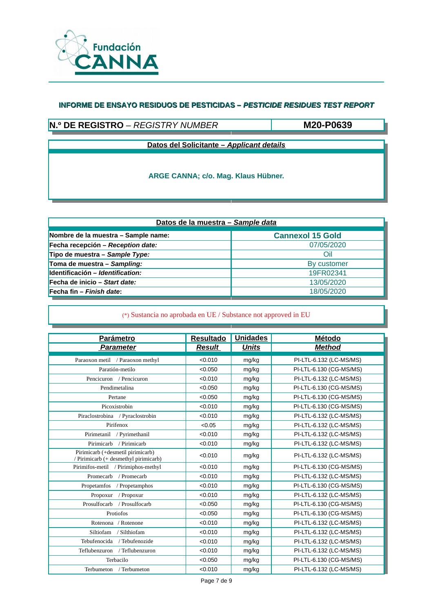

# **N.º DE REGISTRO** – *REGISTRY NUMBER*

**M20-P0639**

**Datos del Solicitante –** *Applicant details*

**ARGE CANNA; c/o. Mag. Klaus Hübner.**

| Datos de la muestra - Sample data   |                         |  |  |  |
|-------------------------------------|-------------------------|--|--|--|
| Nombre de la muestra - Sample name: | <b>Cannexol 15 Gold</b> |  |  |  |
| Fecha recepción - Reception date:   | 07/05/2020              |  |  |  |
| Tipo de muestra - Sample Type:      | Oil                     |  |  |  |
| Toma de muestra - Sampling:         | By customer             |  |  |  |
| Identificación - Identification:    | 19FR02341               |  |  |  |
| Fecha de inicio – Start date:       | 13/05/2020              |  |  |  |
| Fecha fin – Finish date:            | 18/05/2020              |  |  |  |

| <b>Parámetro</b>                                                           | <b>Resultado</b> | <b>Unidades</b> | Método                  |
|----------------------------------------------------------------------------|------------------|-----------------|-------------------------|
| <b>Parameter</b>                                                           | <b>Result</b>    | <b>Units</b>    | <b>Method</b>           |
| Paraoxon metil / Paraoxon methyl                                           | < 0.010          | mg/kg           | PI-LTL-6.132 (LC-MS/MS) |
| Paratión-metilo                                                            | < 0.050          | mg/kg           | PI-LTL-6.130 (CG-MS/MS) |
| Pencicuron / Pencicuron                                                    | < 0.010          | mg/kg           | PI-LTL-6.132 (LC-MS/MS) |
| Pendimetalina                                                              | < 0.050          | mg/kg           | PI-LTL-6.130 (CG-MS/MS) |
| Pertane                                                                    | < 0.050          | mg/kg           | PI-LTL-6.130 (CG-MS/MS) |
| Picoxistrobin                                                              | < 0.010          | mg/kg           | PI-LTL-6.130 (CG-MS/MS) |
| Piraclostrobina / Pyraclostrobin                                           | < 0.010          | mg/kg           | PI-LTL-6.132 (LC-MS/MS) |
| Pirifenox                                                                  | < 0.05           | mg/kg           | PI-LTL-6.132 (LC-MS/MS) |
| Pirimetanil / Pyrimethanil                                                 | < 0.010          | mg/kg           | PI-LTL-6.132 (LC-MS/MS) |
| / Pirimicarb<br>Pirimicarb                                                 | < 0.010          | mg/kg           | PI-LTL-6.132 (LC-MS/MS) |
| Pirimicarb (+desmetil pirimicarb)<br>/ Pirimicarb (+ desmethyl pirimicarb) | < 0.010          | mg/kg           | PI-LTL-6.132 (LC-MS/MS) |
| Pirimifos-metil / Pirimiphos-methyl                                        | < 0.010          | mg/kg           | PI-LTL-6.130 (CG-MS/MS) |
| Promecarb<br>/ Promecarb                                                   | < 0.010          | mg/kg           | PI-LTL-6.132 (LC-MS/MS) |
| Propetamfos<br>/ Propetamphos                                              | < 0.010          | mg/kg           | PI-LTL-6.130 (CG-MS/MS) |
| Propoxur<br>/ Propoxur                                                     | < 0.010          | mg/kg           | PI-LTL-6.132 (LC-MS/MS) |
| Prosulfocarb<br>/ Prosulfocarb                                             | < 0.050          | mg/kg           | PI-LTL-6.130 (CG-MS/MS) |
| Protiofos                                                                  | < 0.050          | mg/kg           | PI-LTL-6.130 (CG-MS/MS) |
| Rotenona / Rotenone                                                        | < 0.010          | mg/kg           | PI-LTL-6.132 (LC-MS/MS) |
| Siltiofam<br>/ Silthiofam                                                  | < 0.010          | mg/kg           | PI-LTL-6.132 (LC-MS/MS) |
| Tebufenocida / Tebufenozide                                                | < 0.010          | mg/kg           | PI-LTL-6.132 (LC-MS/MS) |
| Teflubenzuron / Teflubenzuron                                              | < 0.010          | mg/kg           | PI-LTL-6.132 (LC-MS/MS) |
| Terbacilo                                                                  | < 0.050          | mg/kg           | PI-LTL-6.130 (CG-MS/MS) |
| Terbumeton / Terbumeton                                                    | < 0.010          | mg/kg           | PI-LTL-6.132 (LC-MS/MS) |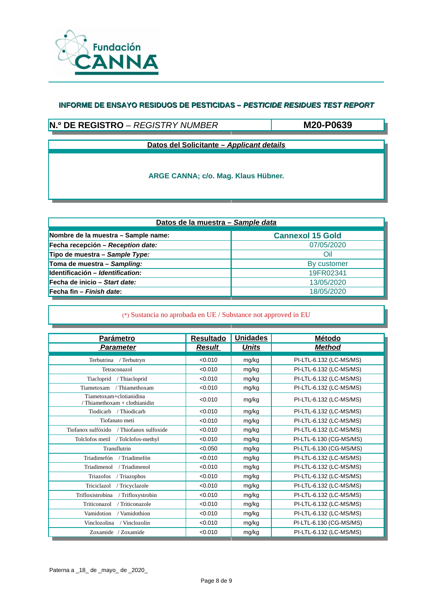

### **N.º DE REGISTRO** – *REGISTRY NUMBER*

**M20-P0639**

**Datos del Solicitante –** *Applicant details*

**ARGE CANNA; c/o. Mag. Klaus Hübner.**

| Datos de la muestra - Sample data   |                         |  |  |  |
|-------------------------------------|-------------------------|--|--|--|
| Nombre de la muestra - Sample name: | <b>Cannexol 15 Gold</b> |  |  |  |
| Fecha recepción – Reception date:   | 07/05/2020              |  |  |  |
| Tipo de muestra - Sample Type:      | Oil                     |  |  |  |
| Toma de muestra - Sampling:         | By customer             |  |  |  |
| Identificación - Identification:    | 19FR02341               |  |  |  |
| Fecha de inicio – Start date:       | 13/05/2020              |  |  |  |
| Fecha fin – Finish date:            | 18/05/2020              |  |  |  |

| <b>Parámetro</b>                                         | <b>Resultado</b> | <b>Unidades</b> | <b>Método</b>           |
|----------------------------------------------------------|------------------|-----------------|-------------------------|
| <b>Parameter</b>                                         | <b>Result</b>    | <b>Units</b>    | <b>Method</b>           |
|                                                          |                  |                 |                         |
| Terbutrina / Terbutryn                                   | < 0.010          | mg/kg           | PI-LTL-6.132 (LC-MS/MS) |
| Tetraconazol                                             | < 0.010          | mg/kg           | PI-LTL-6.132 (LC-MS/MS) |
| Tiacloprid<br>/ Thiacloprid                              | < 0.010          | mg/kg           | PI-LTL-6.132 (LC-MS/MS) |
| / Thiamethoxam<br>Tiametoxam                             | < 0.010          | mg/kg           | PI-LTL-6.132 (LC-MS/MS) |
| Tiametoxam+clotianidina<br>/ Thiamethoxam + clothianidin | < 0.010          | mg/kg           | PI-LTL-6.132 (LC-MS/MS) |
| / Thiodicarb<br>Tiodicarb                                | < 0.010          | mg/kg           | PI-LTL-6.132 (LC-MS/MS) |
| Tiofanato meti                                           | < 0.010          | mg/kg           | PI-LTL-6.132 (LC-MS/MS) |
| Tiofanox sulfóxido / Thiofanox sulfoxide                 | < 0.010          | mg/kg           | PI-LTL-6.132 (LC-MS/MS) |
| / Tolclofos-methyl<br>Tolclofos metil                    | < 0.010          | mg/kg           | PI-LTL-6.130 (CG-MS/MS) |
| Transflutrin                                             | < 0.050          | mg/kg           | PI-LTL-6.130 (CG-MS/MS) |
| Triadimefón<br>/ Triadimefón                             | < 0.010          | mg/kg           | PI-LTL-6.132 (LC-MS/MS) |
| Triadimenol<br>/ Triadimenol                             | < 0.010          | mg/kg           | PI-LTL-6.132 (LC-MS/MS) |
| Triazofos<br>/ Triazophos                                | < 0.010          | mg/kg           | PI-LTL-6.132 (LC-MS/MS) |
| Triciclazol<br>/ Tricyclazole                            | < 0.010          | mg/kg           | PI-LTL-6.132 (LC-MS/MS) |
| / Trifloxystrobin<br>Trifloxistrobina                    | < 0.010          | mg/kg           | PI-LTL-6.132 (LC-MS/MS) |
| / Triticonazole<br>Triticonazol                          | < 0.010          | mg/kg           | PI-LTL-6.132 (LC-MS/MS) |
| Vamidotion<br>/ Vamidothion                              | < 0.010          | mg/kg           | PI-LTL-6.132 (LC-MS/MS) |
| Vinclozolina<br>/ Vinclozolin                            | < 0.010          | mg/kg           | PI-LTL-6.130 (CG-MS/MS) |
| Zoxamide / Zoxamide                                      | < 0.010          | mg/kg           | PI-LTL-6.132 (LC-MS/MS) |